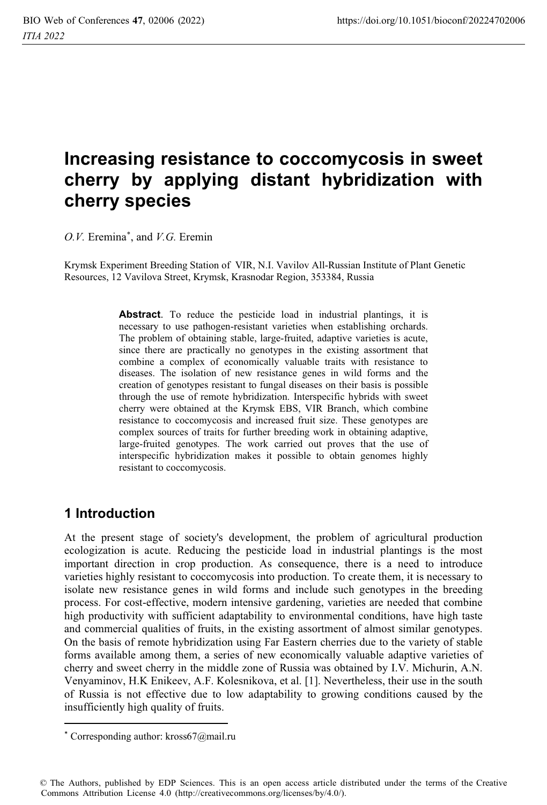# **Increasing resistance to coccomycosis in sweet cherry by applying distant hybridization with cherry species**

*O.V.* Eremina\* , and *V.G.* Eremin

Krymsk Experiment Breeding Station of VIR, N.I. Vavilov All-Russian Institute of Plant Genetic Resources, 12 Vavilova Street, Krymsk, Krasnodar Region, 353384, Russia

> **Abstract**. To reduce the pesticide load in industrial plantings, it is necessary to use pathogen-resistant varieties when establishing orchards. The problem of obtaining stable, large-fruited, adaptive varieties is acute, since there are practically no genotypes in the existing assortment that combine a complex of economically valuable traits with resistance to diseases. The isolation of new resistance genes in wild forms and the creation of genotypes resistant to fungal diseases on their basis is possible through the use of remote hybridization. Interspecific hybrids with sweet cherry were obtained at the Krymsk EBS, VIR Branch, which combine resistance to coccomycosis and increased fruit size. These genotypes are complex sources of traits for further breeding work in obtaining adaptive, large-fruited genotypes. The work carried out proves that the use of interspecific hybridization makes it possible to obtain genomes highly resistant to coccomycosis.

## **1 Introduction**

At the present stage of society's development, the problem of agricultural production ecologization is acute. Reducing the pesticide load in industrial plantings is the most important direction in crop production. As consequence, there is a need to introduce varieties highly resistant to coccomycosis into production. To create them, it is necessary to isolate new resistance genes in wild forms and include such genotypes in the breeding process. For cost-effective, modern intensive gardening, varieties are needed that combine high productivity with sufficient adaptability to environmental conditions, have high taste and commercial qualities of fruits, in the existing assortment of almost similar genotypes. On the basis of remote hybridization using Far Eastern cherries due to the variety of stable forms available among them, a series of new economically valuable adaptive varieties of cherry and sweet cherry in the middle zone of Russia was obtained by I.V. Michurin, A.N. Venyaminov, H.K Enikeev, A.F. Kolesnikova, et al. [1]. Nevertheless, their use in the south of Russia is not effective due to low adaptability to growing conditions caused by the insufficiently high quality of fruits.

<sup>\*</sup> Corresponding author: kross67@mail.ru

<sup>©</sup> The Authors, published by EDP Sciences. This is an open access article distributed under the terms of the Creative Commons Attribution License 4.0 (http://creativecommons.org/licenses/by/4.0/).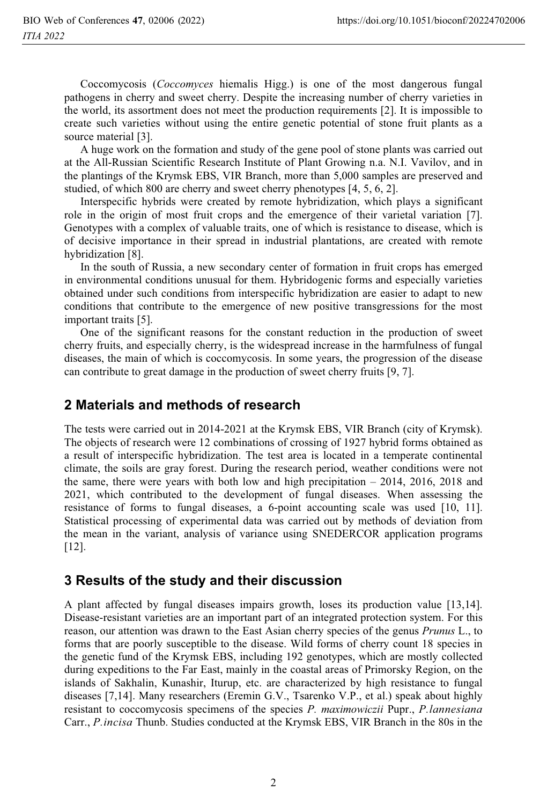Coccomycosis (*Coccomyces* hiemalis Higg.) is one of the most dangerous fungal pathogens in cherry and sweet cherry. Despite the increasing number of cherry varieties in the world, its assortment does not meet the production requirements [2]. It is impossible to create such varieties without using the entire genetic potential of stone fruit plants as a source material [3].

A huge work on the formation and study of the gene pool of stone plants was carried out at the All-Russian Scientific Research Institute of Plant Growing n.a. N.I. Vavilov, and in the plantings of the Krymsk EBS, VIR Branch, more than 5,000 samples are preserved and studied, of which 800 are cherry and sweet cherry phenotypes [4, 5, 6, 2].

Interspecific hybrids were created by remote hybridization, which plays a significant role in the origin of most fruit crops and the emergence of their varietal variation [7]. Genotypes with a complex of valuable traits, one of which is resistance to disease, which is of decisive importance in their spread in industrial plantations, are created with remote hybridization [8].

In the south of Russia, a new secondary center of formation in fruit crops has emerged in environmental conditions unusual for them. Hybridogenic forms and especially varieties obtained under such conditions from interspecific hybridization are easier to adapt to new conditions that contribute to the emergence of new positive transgressions for the most important traits [5].

One of the significant reasons for the constant reduction in the production of sweet cherry fruits, and especially cherry, is the widespread increase in the harmfulness of fungal diseases, the main of which is coccomycosis. In some years, the progression of the disease can contribute to great damage in the production of sweet cherry fruits [9, 7].

#### **2 Materials and methods of research**

The tests were carried out in 2014-2021 at the Krymsk EBS, VIR Branch (city of Krymsk). The objects of research were 12 combinations of crossing of 1927 hybrid forms obtained as a result of interspecific hybridization. The test area is located in a temperate continental climate, the soils are gray forest. During the research period, weather conditions were not the same, there were years with both low and high precipitation  $-2014$ , 2016, 2018 and 2021, which contributed to the development of fungal diseases. When assessing the resistance of forms to fungal diseases, a 6-point accounting scale was used [10, 11]. Statistical processing of experimental data was carried out by methods of deviation from the mean in the variant, analysis of variance using SNEDERCOR application programs [12].

### **3 Results of the study and their discussion**

A plant affected by fungal diseases impairs growth, loses its production value [13,14]. Disease-resistant varieties are an important part of an integrated protection system. For this reason, our attention was drawn to the East Asian cherry species of the genus *Prunus* L., to forms that are poorly susceptible to the disease. Wild forms of cherry count 18 species in the genetic fund of the Krymsk EBS, including 192 genotypes, which are mostly collected during expeditions to the Far East, mainly in the coastal areas of Primorsky Region, on the islands of Sakhalin, Kunashir, Iturup, etc. are characterized by high resistance to fungal diseases [7,14]. Many researchers (Eremin G.V., Tsarenko V.P., et al.) speak about highly resistant to coccomycosis specimens of the species *P. maximowiczii* Pupr., *P.lannesiana* Carr., *P.incisa* Thunb. Studies conducted at the Krymsk EBS, VIR Branch in the 80s in the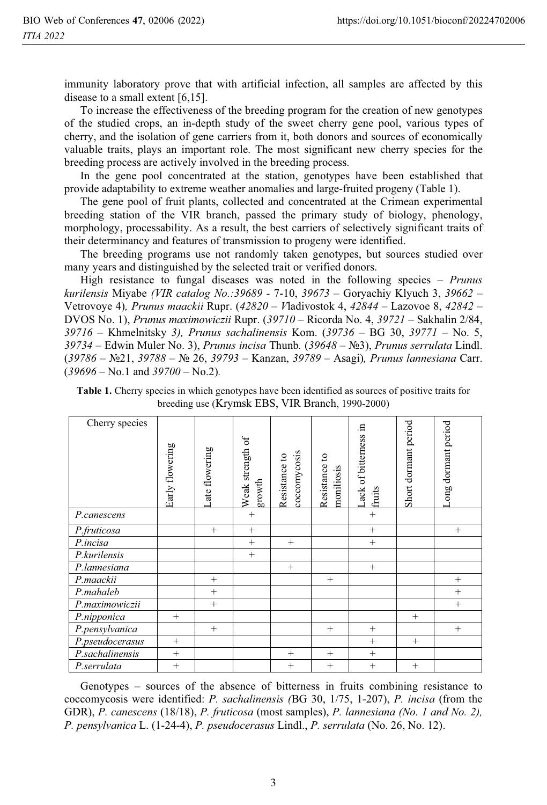immunity laboratory prove that with artificial infection, all samples are affected by this disease to a small extent [6,15].

To increase the effectiveness of the breeding program for the creation of new genotypes of the studied crops, an in-depth study of the sweet cherry gene pool, various types of cherry, and the isolation of gene carriers from it, both donors and sources of economically valuable traits, plays an important role. The most significant new cherry species for the breeding process are actively involved in the breeding process.

In the gene pool concentrated at the station, genotypes have been established that provide adaptability to extreme weather anomalies and large-fruited progeny (Table 1).

The gene pool of fruit plants, collected and concentrated at the Crimean experimental breeding station of the VIR branch, passed the primary study of biology, phenology, morphology, processability. As a result, the best carriers of selectively significant traits of their determinancy and features of transmission to progeny were identified.

The breeding programs use not randomly taken genotypes, but sources studied over many years and distinguished by the selected trait or verified donors.

High resistance to fungal diseases was noted in the following species – *Prunus kurilensis* Miyabe *(VIR catalog No.:39689 -* 7-10, *39673* – Goryachiy Klyuch 3, *39662* – Vetrovoye 4)*, Prunus maackii* Rupr. (*42820* – *V*ladivostok 4, *42844* – Lazovoe 8, *42842* – DVOS No. 1), *Prunus maximowiczii* Rupr. (*39710* – Ricorda No. 4, *39721* – Sakhalin 2/84, *39716* – Khmelnitsky *3), Prunus sachalinensis* Kom. (*39736* – BG 30, *39771* – No. 5, *39734* – Edwin Muler No. 3), *Prunus incisa* Thunb*.* (*39648* – - *Prunus serrulata* Lindl. (39786 – №21, 39788 – № 26, 39793 – Kanzan, 39789 – Asagi), *Prunus lannesiana* Carr. (*39696* – No.1 and *39700* – No.2)*.* 

**Table 1.** Cherry species in which genotypes have been identified as sources of positive traits for breeding use (Krymsk EBS, VIR Branch, 1990-2000)

| Cherry species  | Early flowering | Late flowering | Weak strength of<br>growth | coccomycosis<br>Resistance to | Resistance to<br>moniliosis | .日<br>Lack of bitterness<br>fruits | Short dormant period | Long dormant period |
|-----------------|-----------------|----------------|----------------------------|-------------------------------|-----------------------------|------------------------------------|----------------------|---------------------|
| P.canescens     |                 |                | $^{+}$                     |                               |                             | $^{+}$                             |                      |                     |
|                 |                 |                |                            |                               |                             |                                    |                      |                     |
| P.fruticosa     |                 | $^{+}$         | $^{+}$                     |                               |                             | $^{+}$                             |                      | $^{+}$              |
| P.incisa        |                 |                | $+$                        | $^{+}$                        |                             | $+$                                |                      |                     |
| P.kurilensis    |                 |                | $+$                        |                               |                             |                                    |                      |                     |
| P.lannesiana    |                 |                |                            | $^{+}$                        |                             | $+$                                |                      |                     |
| P.maackii       |                 | $^{+}$         |                            |                               | $^{+}$                      |                                    |                      | $^{+}$              |
| P.mahaleb       |                 | $^{+}$         |                            |                               |                             |                                    |                      | $^{+}$              |
| P.maximowiczii  |                 | $^{+}$         |                            |                               |                             |                                    |                      | $^{+}$              |
| P.nipponica     | $^{+}$          |                |                            |                               |                             |                                    | $^{+}$               |                     |
| P.pensylvanica  |                 | $^{+}$         |                            |                               | $^{+}$                      | $^{+}$                             |                      | $^{+}$              |
| P.pseudocerasus | $^{+}$          |                |                            |                               |                             | $+$                                | $^{+}$               |                     |
| P.sachalinensis | $^{+}$          |                |                            | $^{+}$                        | $+$                         | $+$                                |                      |                     |
| P.serrulata     | $^{+}$          |                |                            | $^{+}$                        | $+$                         | $+$                                | $^{+}$               |                     |

Genotypes – sources of the absence of bitterness in fruits combining resistance to coccomycosis were identified: *P. sachalinensis (*BG 30, 1/75, 1-207), *P. incisa* (from the GDR), *P. canescens* (18/18), *P. fruticosa* (most samples), *P. lannesiana (No. 1 and No. 2), P. pensylvanica* L. (1-24-4), *P. pseudocerasus* Lindl., *P. serrulata* (No. 26, No. 12).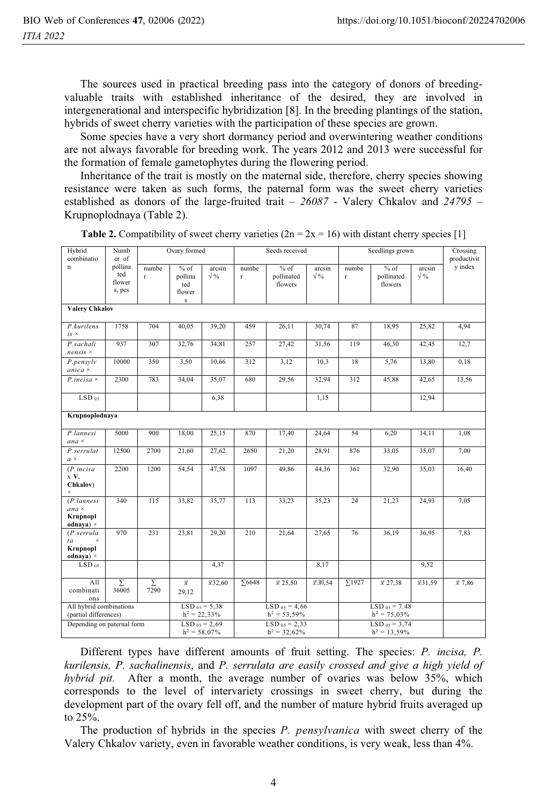The sources used in practical breeding pass into the category of donors of breedingvaluable traits with established inheritance of the desired, they are involved in intergenerational and interspecific hybridization [8]. In the breeding plantings of the station, hybrids of sweet cherry varieties with the participation of these species are grown.

Some species have a very short dormancy period and overwintering weather conditions are not always favorable for breeding work. The years 2012 and 2013 were successful for the formation of female gametophytes during the flowering period.

Inheritance of the trait is mostly on the maternal side, therefore, cherry species showing resistance were taken as such forms, the paternal form was the sweet cherry varieties established as donors of the large-fruited trait – *26087* - Valery Chkalov and *24795* – Krupnoplodnaya (Table 2).

| y index<br>pollina<br>$\mathbf n$<br>numbe<br>$%$ of<br>$%$ of<br>$%$ of<br>arcsin<br>numbe<br>arcsin<br>numbe<br>arcsin<br>ted<br>$\sqrt{9/6}$<br>$\sqrt{9/6}$<br>$\sqrt{9/6}$<br>pollina<br>pollinated<br>pollinated<br>$\mathbf r$<br>r.<br>$\mathbf{r}$<br>flower<br>flowers<br>ted<br>flowers<br>s, pcs<br>flower<br>$\bf S$<br><b>Valery Chkalov</b><br>1758<br>704<br>40,05<br>459<br>26,11<br>30,74<br>18,95<br>25,82<br>4,94<br>P.kurilens<br>39,20<br>87<br>$is \times$<br>937<br>307<br>32,76<br>34,81<br>257<br>27,42<br>31,56<br>119<br>42,45<br>12,7<br>P.sachali<br>46,30<br>$nensis \times$<br>10000<br>350<br>3,50<br>10,66<br>312<br>3,12<br>10,3<br>18<br>5,76<br>13,80<br>0,18<br>P. pensylv<br>$anica \times$<br>2300<br>35,07<br>29,56<br>312<br>42,65<br>783<br>34,04<br>680<br>32,94<br>45,88<br>13,56<br>$P.incisa \times$<br>LSD <sub>05</sub><br>12,94<br>6,38<br>1,15<br>Krupnoplodnaya<br>P.lannesi<br>5000<br>900<br>18,00<br>25,15<br>870<br>17,40<br>24,64<br>54<br>6,20<br>14,11<br>1,08<br>$ana \times$<br>12500<br>7,00<br>P.serrulat<br>2700<br>21,60<br>27,62<br>2650<br>21,20<br>28,91<br>876<br>33,05<br>35,07<br>$a \times$<br>2200<br>1200<br>1097<br>54,54<br>47,58<br>49,86<br>44,36<br>361<br>32,90<br>35,03<br>16,40<br>(P.incisa)<br>x V.<br>Chkalov)<br>$\times$<br>7,05<br>$(P.$ lannesi<br>340<br>115<br>33,82<br>35,77<br>113<br>33,23<br>35,23<br>24<br>21,23<br>24,93<br>$ana \times$<br>Krupnopl<br>odnaya) $\times$<br>970<br>231<br>210<br>7,83<br>23,81<br>29,20<br>21,64<br>27,65<br>76<br>36,19<br>36,95<br>$(P.$ serrula<br>$\times$<br>ta<br>Krupnopl<br>odnaya) $\times$<br>4,37<br>8,17<br>9,52<br>LSD <sub>05</sub><br>x 30,54<br>$\Sigma$ 1927<br>All<br>Σ<br>Σ<br>Ÿ.<br>132,60<br>$\Sigma$ 6648<br>25,50<br>27,38<br>231,59<br>27,86<br>combinati<br>36005<br>7290<br>29,12<br>ons<br>All hybrid combinations<br>$LSD_{05} = 5,38$<br>$LSD_{05} = 4,66$<br>$LSD_{05} = 7.48$<br>(partial differences)<br>$h^2 = 22,33\%$<br>$h^2 = 53,59\%$<br>$h^2 = 75,03\%$<br>Depending on paternal form<br>$LSD_{05} = 2,69$<br>$LSD_{05} = 2,33$<br>$LSD_{05} = 3,74$<br>$h^2 = 58,07\%$ | Hybrid<br>combinatio | Numb<br>er of |  | Ovary formed |  |  | Seeds received  |  | Seedlings grown | Crossing<br>productivit |  |  |
|-------------------------------------------------------------------------------------------------------------------------------------------------------------------------------------------------------------------------------------------------------------------------------------------------------------------------------------------------------------------------------------------------------------------------------------------------------------------------------------------------------------------------------------------------------------------------------------------------------------------------------------------------------------------------------------------------------------------------------------------------------------------------------------------------------------------------------------------------------------------------------------------------------------------------------------------------------------------------------------------------------------------------------------------------------------------------------------------------------------------------------------------------------------------------------------------------------------------------------------------------------------------------------------------------------------------------------------------------------------------------------------------------------------------------------------------------------------------------------------------------------------------------------------------------------------------------------------------------------------------------------------------------------------------------------------------------------------------------------------------------------------------------------------------------------------------------------------------------------------------------------------------------------------------------------------------------------------------------------------------------------------------------------------------------------------------------------------------------------------------------------------------------|----------------------|---------------|--|--------------|--|--|-----------------|--|-----------------|-------------------------|--|--|
|                                                                                                                                                                                                                                                                                                                                                                                                                                                                                                                                                                                                                                                                                                                                                                                                                                                                                                                                                                                                                                                                                                                                                                                                                                                                                                                                                                                                                                                                                                                                                                                                                                                                                                                                                                                                                                                                                                                                                                                                                                                                                                                                                 |                      |               |  |              |  |  |                 |  |                 |                         |  |  |
|                                                                                                                                                                                                                                                                                                                                                                                                                                                                                                                                                                                                                                                                                                                                                                                                                                                                                                                                                                                                                                                                                                                                                                                                                                                                                                                                                                                                                                                                                                                                                                                                                                                                                                                                                                                                                                                                                                                                                                                                                                                                                                                                                 |                      |               |  |              |  |  |                 |  |                 |                         |  |  |
|                                                                                                                                                                                                                                                                                                                                                                                                                                                                                                                                                                                                                                                                                                                                                                                                                                                                                                                                                                                                                                                                                                                                                                                                                                                                                                                                                                                                                                                                                                                                                                                                                                                                                                                                                                                                                                                                                                                                                                                                                                                                                                                                                 |                      |               |  |              |  |  |                 |  |                 |                         |  |  |
|                                                                                                                                                                                                                                                                                                                                                                                                                                                                                                                                                                                                                                                                                                                                                                                                                                                                                                                                                                                                                                                                                                                                                                                                                                                                                                                                                                                                                                                                                                                                                                                                                                                                                                                                                                                                                                                                                                                                                                                                                                                                                                                                                 |                      |               |  |              |  |  |                 |  |                 |                         |  |  |
|                                                                                                                                                                                                                                                                                                                                                                                                                                                                                                                                                                                                                                                                                                                                                                                                                                                                                                                                                                                                                                                                                                                                                                                                                                                                                                                                                                                                                                                                                                                                                                                                                                                                                                                                                                                                                                                                                                                                                                                                                                                                                                                                                 |                      |               |  |              |  |  |                 |  |                 |                         |  |  |
|                                                                                                                                                                                                                                                                                                                                                                                                                                                                                                                                                                                                                                                                                                                                                                                                                                                                                                                                                                                                                                                                                                                                                                                                                                                                                                                                                                                                                                                                                                                                                                                                                                                                                                                                                                                                                                                                                                                                                                                                                                                                                                                                                 |                      |               |  |              |  |  |                 |  |                 |                         |  |  |
|                                                                                                                                                                                                                                                                                                                                                                                                                                                                                                                                                                                                                                                                                                                                                                                                                                                                                                                                                                                                                                                                                                                                                                                                                                                                                                                                                                                                                                                                                                                                                                                                                                                                                                                                                                                                                                                                                                                                                                                                                                                                                                                                                 |                      |               |  |              |  |  |                 |  |                 |                         |  |  |
|                                                                                                                                                                                                                                                                                                                                                                                                                                                                                                                                                                                                                                                                                                                                                                                                                                                                                                                                                                                                                                                                                                                                                                                                                                                                                                                                                                                                                                                                                                                                                                                                                                                                                                                                                                                                                                                                                                                                                                                                                                                                                                                                                 |                      |               |  |              |  |  |                 |  |                 |                         |  |  |
|                                                                                                                                                                                                                                                                                                                                                                                                                                                                                                                                                                                                                                                                                                                                                                                                                                                                                                                                                                                                                                                                                                                                                                                                                                                                                                                                                                                                                                                                                                                                                                                                                                                                                                                                                                                                                                                                                                                                                                                                                                                                                                                                                 |                      |               |  |              |  |  |                 |  |                 |                         |  |  |
|                                                                                                                                                                                                                                                                                                                                                                                                                                                                                                                                                                                                                                                                                                                                                                                                                                                                                                                                                                                                                                                                                                                                                                                                                                                                                                                                                                                                                                                                                                                                                                                                                                                                                                                                                                                                                                                                                                                                                                                                                                                                                                                                                 |                      |               |  |              |  |  |                 |  |                 |                         |  |  |
|                                                                                                                                                                                                                                                                                                                                                                                                                                                                                                                                                                                                                                                                                                                                                                                                                                                                                                                                                                                                                                                                                                                                                                                                                                                                                                                                                                                                                                                                                                                                                                                                                                                                                                                                                                                                                                                                                                                                                                                                                                                                                                                                                 |                      |               |  |              |  |  |                 |  |                 |                         |  |  |
|                                                                                                                                                                                                                                                                                                                                                                                                                                                                                                                                                                                                                                                                                                                                                                                                                                                                                                                                                                                                                                                                                                                                                                                                                                                                                                                                                                                                                                                                                                                                                                                                                                                                                                                                                                                                                                                                                                                                                                                                                                                                                                                                                 |                      |               |  |              |  |  |                 |  |                 |                         |  |  |
|                                                                                                                                                                                                                                                                                                                                                                                                                                                                                                                                                                                                                                                                                                                                                                                                                                                                                                                                                                                                                                                                                                                                                                                                                                                                                                                                                                                                                                                                                                                                                                                                                                                                                                                                                                                                                                                                                                                                                                                                                                                                                                                                                 |                      |               |  |              |  |  |                 |  |                 |                         |  |  |
|                                                                                                                                                                                                                                                                                                                                                                                                                                                                                                                                                                                                                                                                                                                                                                                                                                                                                                                                                                                                                                                                                                                                                                                                                                                                                                                                                                                                                                                                                                                                                                                                                                                                                                                                                                                                                                                                                                                                                                                                                                                                                                                                                 |                      |               |  |              |  |  |                 |  |                 |                         |  |  |
|                                                                                                                                                                                                                                                                                                                                                                                                                                                                                                                                                                                                                                                                                                                                                                                                                                                                                                                                                                                                                                                                                                                                                                                                                                                                                                                                                                                                                                                                                                                                                                                                                                                                                                                                                                                                                                                                                                                                                                                                                                                                                                                                                 |                      |               |  |              |  |  |                 |  |                 |                         |  |  |
|                                                                                                                                                                                                                                                                                                                                                                                                                                                                                                                                                                                                                                                                                                                                                                                                                                                                                                                                                                                                                                                                                                                                                                                                                                                                                                                                                                                                                                                                                                                                                                                                                                                                                                                                                                                                                                                                                                                                                                                                                                                                                                                                                 |                      |               |  |              |  |  |                 |  |                 |                         |  |  |
|                                                                                                                                                                                                                                                                                                                                                                                                                                                                                                                                                                                                                                                                                                                                                                                                                                                                                                                                                                                                                                                                                                                                                                                                                                                                                                                                                                                                                                                                                                                                                                                                                                                                                                                                                                                                                                                                                                                                                                                                                                                                                                                                                 |                      |               |  |              |  |  |                 |  |                 |                         |  |  |
|                                                                                                                                                                                                                                                                                                                                                                                                                                                                                                                                                                                                                                                                                                                                                                                                                                                                                                                                                                                                                                                                                                                                                                                                                                                                                                                                                                                                                                                                                                                                                                                                                                                                                                                                                                                                                                                                                                                                                                                                                                                                                                                                                 |                      |               |  |              |  |  |                 |  |                 |                         |  |  |
|                                                                                                                                                                                                                                                                                                                                                                                                                                                                                                                                                                                                                                                                                                                                                                                                                                                                                                                                                                                                                                                                                                                                                                                                                                                                                                                                                                                                                                                                                                                                                                                                                                                                                                                                                                                                                                                                                                                                                                                                                                                                                                                                                 |                      |               |  |              |  |  |                 |  |                 |                         |  |  |
|                                                                                                                                                                                                                                                                                                                                                                                                                                                                                                                                                                                                                                                                                                                                                                                                                                                                                                                                                                                                                                                                                                                                                                                                                                                                                                                                                                                                                                                                                                                                                                                                                                                                                                                                                                                                                                                                                                                                                                                                                                                                                                                                                 |                      |               |  |              |  |  |                 |  |                 |                         |  |  |
|                                                                                                                                                                                                                                                                                                                                                                                                                                                                                                                                                                                                                                                                                                                                                                                                                                                                                                                                                                                                                                                                                                                                                                                                                                                                                                                                                                                                                                                                                                                                                                                                                                                                                                                                                                                                                                                                                                                                                                                                                                                                                                                                                 |                      |               |  |              |  |  |                 |  |                 |                         |  |  |
|                                                                                                                                                                                                                                                                                                                                                                                                                                                                                                                                                                                                                                                                                                                                                                                                                                                                                                                                                                                                                                                                                                                                                                                                                                                                                                                                                                                                                                                                                                                                                                                                                                                                                                                                                                                                                                                                                                                                                                                                                                                                                                                                                 |                      |               |  |              |  |  |                 |  |                 |                         |  |  |
|                                                                                                                                                                                                                                                                                                                                                                                                                                                                                                                                                                                                                                                                                                                                                                                                                                                                                                                                                                                                                                                                                                                                                                                                                                                                                                                                                                                                                                                                                                                                                                                                                                                                                                                                                                                                                                                                                                                                                                                                                                                                                                                                                 |                      |               |  |              |  |  |                 |  |                 |                         |  |  |
|                                                                                                                                                                                                                                                                                                                                                                                                                                                                                                                                                                                                                                                                                                                                                                                                                                                                                                                                                                                                                                                                                                                                                                                                                                                                                                                                                                                                                                                                                                                                                                                                                                                                                                                                                                                                                                                                                                                                                                                                                                                                                                                                                 |                      |               |  |              |  |  |                 |  |                 |                         |  |  |
|                                                                                                                                                                                                                                                                                                                                                                                                                                                                                                                                                                                                                                                                                                                                                                                                                                                                                                                                                                                                                                                                                                                                                                                                                                                                                                                                                                                                                                                                                                                                                                                                                                                                                                                                                                                                                                                                                                                                                                                                                                                                                                                                                 |                      |               |  |              |  |  |                 |  |                 |                         |  |  |
|                                                                                                                                                                                                                                                                                                                                                                                                                                                                                                                                                                                                                                                                                                                                                                                                                                                                                                                                                                                                                                                                                                                                                                                                                                                                                                                                                                                                                                                                                                                                                                                                                                                                                                                                                                                                                                                                                                                                                                                                                                                                                                                                                 |                      |               |  |              |  |  |                 |  |                 |                         |  |  |
|                                                                                                                                                                                                                                                                                                                                                                                                                                                                                                                                                                                                                                                                                                                                                                                                                                                                                                                                                                                                                                                                                                                                                                                                                                                                                                                                                                                                                                                                                                                                                                                                                                                                                                                                                                                                                                                                                                                                                                                                                                                                                                                                                 |                      |               |  |              |  |  |                 |  |                 |                         |  |  |
|                                                                                                                                                                                                                                                                                                                                                                                                                                                                                                                                                                                                                                                                                                                                                                                                                                                                                                                                                                                                                                                                                                                                                                                                                                                                                                                                                                                                                                                                                                                                                                                                                                                                                                                                                                                                                                                                                                                                                                                                                                                                                                                                                 |                      |               |  |              |  |  |                 |  |                 |                         |  |  |
|                                                                                                                                                                                                                                                                                                                                                                                                                                                                                                                                                                                                                                                                                                                                                                                                                                                                                                                                                                                                                                                                                                                                                                                                                                                                                                                                                                                                                                                                                                                                                                                                                                                                                                                                                                                                                                                                                                                                                                                                                                                                                                                                                 |                      |               |  |              |  |  |                 |  |                 |                         |  |  |
|                                                                                                                                                                                                                                                                                                                                                                                                                                                                                                                                                                                                                                                                                                                                                                                                                                                                                                                                                                                                                                                                                                                                                                                                                                                                                                                                                                                                                                                                                                                                                                                                                                                                                                                                                                                                                                                                                                                                                                                                                                                                                                                                                 |                      |               |  |              |  |  |                 |  |                 |                         |  |  |
|                                                                                                                                                                                                                                                                                                                                                                                                                                                                                                                                                                                                                                                                                                                                                                                                                                                                                                                                                                                                                                                                                                                                                                                                                                                                                                                                                                                                                                                                                                                                                                                                                                                                                                                                                                                                                                                                                                                                                                                                                                                                                                                                                 |                      |               |  |              |  |  |                 |  |                 |                         |  |  |
|                                                                                                                                                                                                                                                                                                                                                                                                                                                                                                                                                                                                                                                                                                                                                                                                                                                                                                                                                                                                                                                                                                                                                                                                                                                                                                                                                                                                                                                                                                                                                                                                                                                                                                                                                                                                                                                                                                                                                                                                                                                                                                                                                 |                      |               |  |              |  |  |                 |  |                 |                         |  |  |
|                                                                                                                                                                                                                                                                                                                                                                                                                                                                                                                                                                                                                                                                                                                                                                                                                                                                                                                                                                                                                                                                                                                                                                                                                                                                                                                                                                                                                                                                                                                                                                                                                                                                                                                                                                                                                                                                                                                                                                                                                                                                                                                                                 |                      |               |  |              |  |  |                 |  |                 |                         |  |  |
|                                                                                                                                                                                                                                                                                                                                                                                                                                                                                                                                                                                                                                                                                                                                                                                                                                                                                                                                                                                                                                                                                                                                                                                                                                                                                                                                                                                                                                                                                                                                                                                                                                                                                                                                                                                                                                                                                                                                                                                                                                                                                                                                                 |                      |               |  |              |  |  |                 |  |                 |                         |  |  |
|                                                                                                                                                                                                                                                                                                                                                                                                                                                                                                                                                                                                                                                                                                                                                                                                                                                                                                                                                                                                                                                                                                                                                                                                                                                                                                                                                                                                                                                                                                                                                                                                                                                                                                                                                                                                                                                                                                                                                                                                                                                                                                                                                 |                      |               |  |              |  |  |                 |  |                 |                         |  |  |
|                                                                                                                                                                                                                                                                                                                                                                                                                                                                                                                                                                                                                                                                                                                                                                                                                                                                                                                                                                                                                                                                                                                                                                                                                                                                                                                                                                                                                                                                                                                                                                                                                                                                                                                                                                                                                                                                                                                                                                                                                                                                                                                                                 |                      |               |  |              |  |  |                 |  |                 |                         |  |  |
|                                                                                                                                                                                                                                                                                                                                                                                                                                                                                                                                                                                                                                                                                                                                                                                                                                                                                                                                                                                                                                                                                                                                                                                                                                                                                                                                                                                                                                                                                                                                                                                                                                                                                                                                                                                                                                                                                                                                                                                                                                                                                                                                                 |                      |               |  |              |  |  |                 |  |                 |                         |  |  |
|                                                                                                                                                                                                                                                                                                                                                                                                                                                                                                                                                                                                                                                                                                                                                                                                                                                                                                                                                                                                                                                                                                                                                                                                                                                                                                                                                                                                                                                                                                                                                                                                                                                                                                                                                                                                                                                                                                                                                                                                                                                                                                                                                 |                      |               |  |              |  |  |                 |  |                 |                         |  |  |
|                                                                                                                                                                                                                                                                                                                                                                                                                                                                                                                                                                                                                                                                                                                                                                                                                                                                                                                                                                                                                                                                                                                                                                                                                                                                                                                                                                                                                                                                                                                                                                                                                                                                                                                                                                                                                                                                                                                                                                                                                                                                                                                                                 |                      |               |  |              |  |  |                 |  |                 |                         |  |  |
|                                                                                                                                                                                                                                                                                                                                                                                                                                                                                                                                                                                                                                                                                                                                                                                                                                                                                                                                                                                                                                                                                                                                                                                                                                                                                                                                                                                                                                                                                                                                                                                                                                                                                                                                                                                                                                                                                                                                                                                                                                                                                                                                                 |                      |               |  |              |  |  | $h^2 = 32,62\%$ |  |                 | $h^2 = 13,59\%$         |  |  |

**Table 2.** Compatibility of sweet cherry varieties  $(2n = 2x = 16)$  with distant cherry species [1]

Different types have different amounts of fruit setting. The species: *P. incisa, P. kurilensis, P. sachalinensis*, and *P. serrulata are easily crossed and give a high yield of hybrid pit.* After a month, the average number of ovaries was below 35%, which corresponds to the level of intervariety crossings in sweet cherry, but during the development part of the ovary fell off, and the number of mature hybrid fruits averaged up to 25%.

The production of hybrids in the species *P. pensylvanica* with sweet cherry of the Valery Chkalov variety, even in favorable weather conditions, is very weak, less than 4%.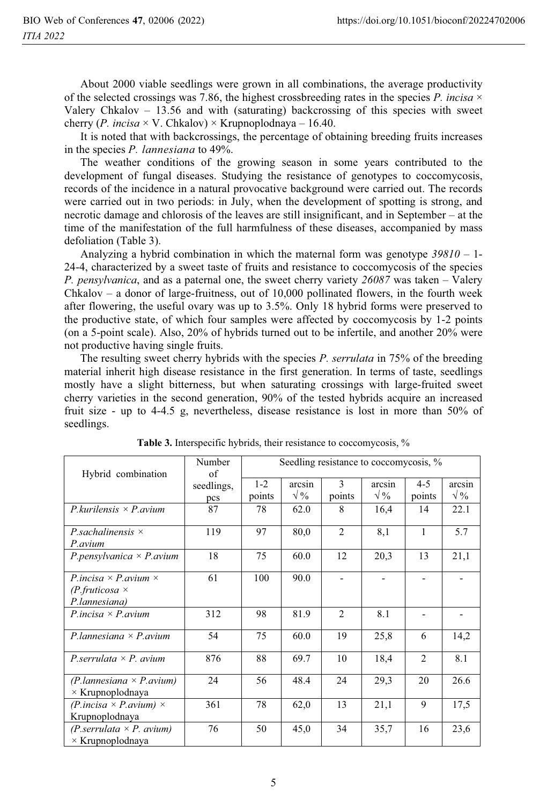About 2000 viable seedlings were grown in all combinations, the average productivity of the selected crossings was 7.86, the highest crossbreeding rates in the species  $P$ . *incisa*  $\times$ Valery Chkalov – 13.56 and with (saturating) backcrossing of this species with sweet cherry (*P. incisa*  $\times$  V. Chkalov)  $\times$  Krupnoplodnaya – 16.40.

It is noted that with backcrossings, the percentage of obtaining breeding fruits increases in the species *P. lannesiana* to 49%.

The weather conditions of the growing season in some years contributed to the development of fungal diseases. Studying the resistance of genotypes to coccomycosis, records of the incidence in a natural provocative background were carried out. The records were carried out in two periods: in July, when the development of spotting is strong, and necrotic damage and chlorosis of the leaves are still insignificant, and in September – at the time of the manifestation of the full harmfulness of these diseases, accompanied by mass defoliation (Table 3).

Analyzing a hybrid combination in which the maternal form was genotype *39810* – 1- 24-4, characterized by a sweet taste of fruits and resistance to coccomycosis of the species *P. pensylvanica*, and as a paternal one, the sweet cherry variety *26087* was taken – Valery Chkalov – a donor of large-fruitness, out of 10,000 pollinated flowers, in the fourth week after flowering, the useful ovary was up to 3.5%. Only 18 hybrid forms were preserved to the productive state, of which four samples were affected by coccomycosis by 1-2 points (on a 5-point scale). Also, 20% of hybrids turned out to be infertile, and another 20% were not productive having single fruits.

The resulting sweet cherry hybrids with the species *P. serrulata* in 75% of the breeding material inherit high disease resistance in the first generation. In terms of taste, seedlings mostly have a slight bitterness, but when saturating crossings with large-fruited sweet cherry varieties in the second generation, 90% of the tested hybrids acquire an increased fruit size - up to 4-4.5 g, nevertheless, disease resistance is lost in more than 50% of seedlings.

| Hybrid combination                                                              | Number<br>of      |                   |                        |                | Seedling resistance to coccomycosis, % |                   |                                |
|---------------------------------------------------------------------------------|-------------------|-------------------|------------------------|----------------|----------------------------------------|-------------------|--------------------------------|
|                                                                                 | seedlings,<br>pcs | $1 - 2$<br>points | arcsin<br>$\sqrt{0/2}$ | 3<br>points    | arcsin<br>$\sqrt{\frac{9}{6}}$         | $4 - 5$<br>points | arcsin<br>$\sqrt{\frac{9}{6}}$ |
| $P_k$ kurilensis $\times P_k$ avium                                             | 87                | 78                | 62.0                   | 8              | 16,4                                   | 14                | 22.1                           |
| P.sachalinensis $\times$<br>$P$ avium                                           | 119               | 97                | 80,0                   | $\overline{2}$ | 8,1                                    | 1                 | 5.7                            |
| P.pensylvanica $\times$ P.avium                                                 | 18                | 75                | 60.0                   | 12             | 20,3                                   | 13                | 21,1                           |
| P incisa $\times$ P avium $\times$<br>$(P.$ fruticosa $\times$<br>P.lannesiana) | 61                | 100               | 90.0                   |                |                                        |                   |                                |
| $P. incisa \times P. avium$                                                     | 312               | 98                | 81.9                   | 2              | 8.1                                    |                   |                                |
| P.lannesiana $\times$ P.avium                                                   | 54                | 75                | 60.0                   | 19             | 25,8                                   | 6                 | 14,2                           |
| P.serrulata $\times$ P. avium                                                   | 876               | 88                | 69.7                   | 10             | 18,4                                   | $\overline{2}$    | 8.1                            |
| $(P. lannesian \times P. avium)$<br>$\times$ Krupnoplodnaya                     | 24                | 56                | 48.4                   | 24             | 29,3                                   | 20                | 26.6                           |
| $(P. incisa \times P. avium) \times$<br>Krupnoplodnaya                          | 361               | 78                | 62,0                   | 13             | 21,1                                   | 9                 | 17.5                           |
| $(P.\text{servlata} \times P.\text{ avium})$<br>$\times$ Krupnoplodnaya         | 76                | 50                | 45,0                   | 34             | 35,7                                   | 16                | 23,6                           |

**Table 3.** Interspecific hybrids, their resistance to coccomycosis, %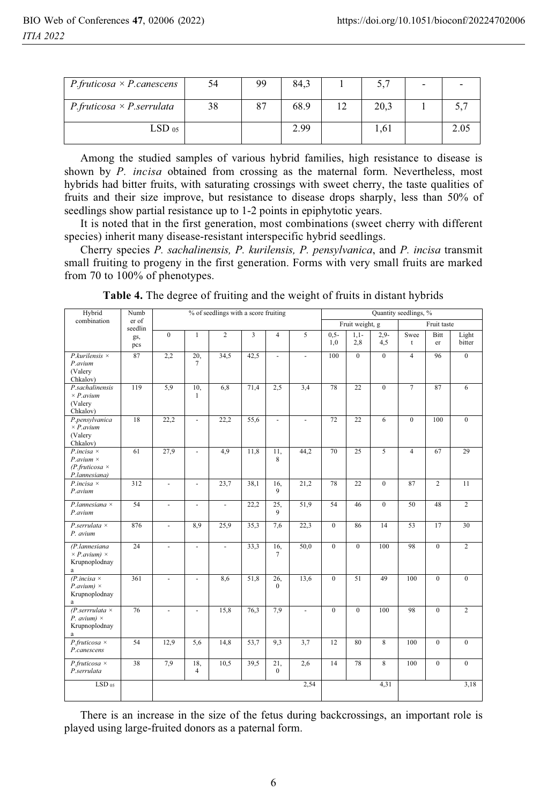| $P.$ fruticosa $\times$ P. canescens | 54 | 99 | 84,3 | 5,7  | $\overline{\phantom{0}}$ |      |
|--------------------------------------|----|----|------|------|--------------------------|------|
| $P.$ fruticosa $\times$ P.serrulata  | 38 | 87 | 68.9 | 20,3 |                          | J.   |
| $LSD_{.05}$                          |    |    | 2.99 | 1.61 |                          | 2.05 |

Among the studied samples of various hybrid families, high resistance to disease is shown by *P. incisa* obtained from crossing as the maternal form. Nevertheless, most hybrids had bitter fruits, with saturating crossings with sweet cherry, the taste qualities of fruits and their size improve, but resistance to disease drops sharply, less than 50% of seedlings show partial resistance up to 1-2 points in epiphytotic years.

It is noted that in the first generation, most combinations (sweet cherry with different species) inherit many disease-resistant interspecific hybrid seedlings.

Cherry species *P. sachalinensis, P. kurilensis, P. pensylvanica*, and *P. incisa* transmit small fruiting to progeny in the first generation. Forms with very small fruits are marked from 70 to 100% of phenotypes.

| Hybrid                                       | Numb             | % of seedlings with a score fruiting |                          |                   |      |                          |                |                | Quantity seedlings, % |                |                |                |                 |  |
|----------------------------------------------|------------------|--------------------------------------|--------------------------|-------------------|------|--------------------------|----------------|----------------|-----------------------|----------------|----------------|----------------|-----------------|--|
| combination                                  | er of<br>seedlin |                                      |                          |                   |      |                          |                |                | Fruit weight, g       |                | Fruit taste    |                |                 |  |
|                                              | gs,              | $\overline{0}$                       | $\mathbf{1}$             | $\overline{2}$    | 3    | $\overline{4}$           | 5              | $0,5-$         | $1,1-$                | $2,9-$         | Swee           | Bitt           | Light           |  |
|                                              | pcs              |                                      |                          |                   |      |                          |                | 1,0            | 2,8                   | 4,5            | t              | er             | bitter          |  |
| $P.kurilensis \times$                        | 87               | 2,2                                  | 20,                      | $\overline{34,5}$ | 42,5 | $\sim$                   | $\overline{a}$ | 100            | $\mathbf{0}$          | $\Omega$       | $\overline{4}$ | 96             | $\Omega$        |  |
| P.avium                                      |                  |                                      | $\tau$                   |                   |      |                          |                |                |                       |                |                |                |                 |  |
| (Valery<br>Chkalov)                          |                  |                                      |                          |                   |      |                          |                |                |                       |                |                |                |                 |  |
| P.sachalinensis                              | 119              | 5,9                                  | 10,                      | 6,8               | 71,4 | 2,5                      | 3,4            | 78             | 22                    | $\overline{0}$ | $\overline{7}$ | 87             | 6               |  |
| $\times$ P. avium                            |                  |                                      | 1                        |                   |      |                          |                |                |                       |                |                |                |                 |  |
| (Valery                                      |                  |                                      |                          |                   |      |                          |                |                |                       |                |                |                |                 |  |
| Chkalov)                                     |                  |                                      |                          |                   |      |                          |                |                |                       |                |                |                |                 |  |
| P.pensylvanica<br>$\times$ P. avium          | 18               | 22,2                                 | ÷                        | 22.2              | 55,6 | $\overline{\phantom{a}}$ | ÷,             | 72             | 22                    | 6              | $\mathbf{0}$   | 100            | $\mathbf{0}$    |  |
| (Valery                                      |                  |                                      |                          |                   |      |                          |                |                |                       |                |                |                |                 |  |
| Chkalov)                                     |                  |                                      |                          |                   |      |                          |                |                |                       |                |                |                |                 |  |
| $P.incisa \times$                            | 61               | 27,9                                 | $\overline{a}$           | 4,9               | 11,8 | 11,                      | 44,2           | 70             | 25                    | $\overline{5}$ | $\overline{4}$ | 67             | 29              |  |
| $P$ , avium $\times$                         |                  |                                      |                          |                   |      | 8                        |                |                |                       |                |                |                |                 |  |
| $(P.fruticosa \times$<br>P.lannesiana)       |                  |                                      |                          |                   |      |                          |                |                |                       |                |                |                |                 |  |
| $P.incisa \times$                            | 312              | $\overline{\phantom{a}}$             | ÷.                       | 23,7              | 38,1 | 16,                      | 21,2           | 78             | 22                    | $\theta$       | 87             | $\overline{c}$ | $\overline{11}$ |  |
| P.avium                                      |                  |                                      |                          |                   |      | 9                        |                |                |                       |                |                |                |                 |  |
| P.lannesiana $\times$                        | 54               | $\overline{\phantom{a}}$             | $\overline{a}$           | $\overline{a}$    | 22,2 | 25,                      | 51,9           | 54             | 46                    | $\theta$       | 50             | 48             | $\overline{2}$  |  |
| P.avium                                      |                  |                                      |                          |                   |      | 9                        |                |                |                       |                |                |                |                 |  |
|                                              |                  |                                      |                          |                   |      |                          |                | $\overline{0}$ | 86                    | 14             | 53             | 17             | 30              |  |
| $P.$ serrulata $\times$<br>P. avium          | 876              | ÷,                                   | 8.9                      | 25,9              | 35,3 | 7,6                      | 22,3           |                |                       |                |                |                |                 |  |
|                                              |                  |                                      |                          |                   |      |                          |                |                |                       |                |                |                |                 |  |
| (P.lannesiana                                | 24               | $\overline{a}$                       | ÷.                       | $\overline{a}$    | 33,3 | 16,                      | 50,0           | $\theta$       | $\theta$              | 100            | 98             | $\theta$       | $\overline{2}$  |  |
| $\times$ P. avium) $\times$<br>Krupnoplodnay |                  |                                      |                          |                   |      | $\tau$                   |                |                |                       |                |                |                |                 |  |
| a                                            |                  |                                      |                          |                   |      |                          |                |                |                       |                |                |                |                 |  |
| $(P.incisa \times$                           | 361              | ÷.                                   | $\overline{\phantom{a}}$ | 8,6               | 51,8 | 26,                      | 13,6           | $\mathbf{0}$   | 51                    | 49             | 100            | $\overline{0}$ | $\overline{0}$  |  |
| $P_{.avium}$ ) $\times$                      |                  |                                      |                          |                   |      | $\Omega$                 |                |                |                       |                |                |                |                 |  |
| Krupnoplodnay                                |                  |                                      |                          |                   |      |                          |                |                |                       |                |                |                |                 |  |
| a<br>$(P.$ serrrulata $\times$               | 76               | ÷.                                   | ÷.                       | 15,8              | 76,3 | 7,9                      | $\overline{a}$ | $\overline{0}$ | $\overline{0}$        | 100            | 98             | $\overline{0}$ | $\overline{2}$  |  |
| $P.$ avium) $\times$                         |                  |                                      |                          |                   |      |                          |                |                |                       |                |                |                |                 |  |
| Krupnoplodnay                                |                  |                                      |                          |                   |      |                          |                |                |                       |                |                |                |                 |  |
| $\mathbf{a}$                                 |                  |                                      |                          |                   |      |                          |                |                |                       |                |                |                |                 |  |
| $P.$ fruticosa $\times$                      | 54               | 12,9                                 | 5,6                      | 14,8              | 53,7 | 9,3                      | 3,7            | 12             | 80                    | $\overline{8}$ | 100            | $\overline{0}$ | $\overline{0}$  |  |
| P.canescens                                  |                  |                                      |                          |                   |      |                          |                |                |                       |                |                |                |                 |  |
| $P.$ fruticosa $\times$                      | 38               | 7,9                                  | 18,                      | 10,5              | 39,5 | 21,                      | 2,6            | 14             | 78                    | 8              | 100            | $\theta$       | $\theta$        |  |
| P.serrulata                                  |                  |                                      | $\overline{4}$           |                   |      | $\mathbf{0}$             |                |                |                       |                |                |                |                 |  |
| $LSD_{05}$                                   |                  |                                      |                          |                   |      |                          | 2,54           |                |                       | 4,31           |                |                | 3,18            |  |
|                                              |                  |                                      |                          |                   |      |                          |                |                |                       |                |                |                |                 |  |

**Table 4.** The degree of fruiting and the weight of fruits in distant hybrids

There is an increase in the size of the fetus during backcrossings, an important role is played using large-fruited donors as a paternal form.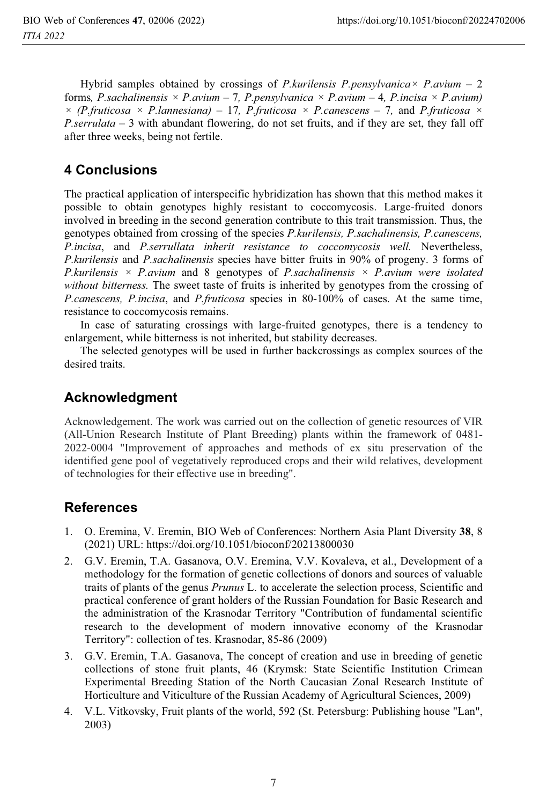Hybrid samples obtained by crossings of *P.kurilensis P.pensylvanica× P.avium –* 2 forms*, P.sachalinensis × P.avium –* 7*, P.pensylvanica × P.avium –* 4*, P.incisa × P.avium)*   $\times$  *(P.fruticosa*  $\times$  *P.lannesiana)* – 17*, P.fruticosa*  $\times$  *P.canescens* – 7*,* and *P.fruticosa*  $\times$ *P.serrulata –* 3 with abundant flowering, do not set fruits, and if they are set, they fall off after three weeks, being not fertile.

## **4 Conclusions**

The practical application of interspecific hybridization has shown that this method makes it possible to obtain genotypes highly resistant to coccomycosis. Large-fruited donors involved in breeding in the second generation contribute to this trait transmission. Thus, the genotypes obtained from crossing of the species *P.kurilensis, P.sachalinensis, P.canescens, P.incisa*, and *P.serrullata inherit resistance to coccomycosis well.* Nevertheless, *P.kurilensis* and *P.sachalinensis* species have bitter fruits in 90% of progeny. 3 forms of *P.kurilensis × P.avium* and 8 genotypes of *P.sachalinensis × P.avium were isolated without bitterness.* The sweet taste of fruits is inherited by genotypes from the crossing of *P.canescens, P.incisa*, and *P.fruticosa* species in 80-100% of cases. At the same time, resistance to coccomycosis remains.

In case of saturating crossings with large-fruited genotypes, there is a tendency to enlargement, while bitterness is not inherited, but stability decreases.

The selected genotypes will be used in further backcrossings as complex sources of the desired traits.

## **Acknowledgment**

Acknowledgement. The work was carried out on the collection of genetic resources of VIR (All-Union Research Institute of Plant Breeding) plants within the framework of 0481- 2022-0004 "Improvement of approaches and methods of ex situ preservation of the identified gene pool of vegetatively reproduced crops and their wild relatives, development of technologies for their effective use in breeding".

## **References**

- 1. O. Eremina, V. Eremin, BIO Web of Conferences: Northern Asia Plant Diversity **38**, 8 (2021) URL: https://doi.org/10.1051/bioconf/20213800030
- 2. G.V. Eremin, T.A. Gasanova, O.V. Eremina, V.V. Kovaleva, et al., Development of a methodology for the formation of genetic collections of donors and sources of valuable traits of plants of the genus *Prunus* L. to accelerate the selection process, Scientific and practical conference of grant holders of the Russian Foundation for Basic Research and the administration of the Krasnodar Territory "Contribution of fundamental scientific research to the development of modern innovative economy of the Krasnodar Territory": collection of tes. Krasnodar, 85-86 (2009)
- 3. G.V. Eremin, T.A. Gasanova, The concept of creation and use in breeding of genetic collections of stone fruit plants, 46 (Krymsk: State Scientific Institution Crimean Experimental Breeding Station of the North Caucasian Zonal Research Institute of Horticulture and Viticulture of the Russian Academy of Agricultural Sciences, 2009)
- 4. V.L. Vitkovsky, Fruit plants of the world, 592 (St. Petersburg: Publishing house "Lan", 2003)